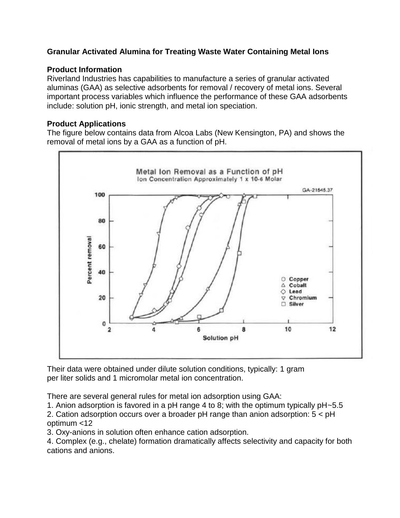## **Granular Activated Alumina for Treating Waste Water Containing Metal Ions**

## **Product Information**

Riverland Industries has capabilities to manufacture a series of granular activated aluminas (GAA) as selective adsorbents for removal / recovery of metal ions. Several important process variables which influence the performance of these GAA adsorbents include: solution pH, ionic strength, and metal ion speciation.

## **Product Applications**

The figure below contains data from Alcoa Labs (New Kensington, PA) and shows the removal of metal ions by a GAA as a function of pH.



Their data were obtained under dilute solution conditions, typically: 1 gram per liter solids and 1 micromolar metal ion concentration.

There are several general rules for metal ion adsorption using GAA:

1. Anion adsorption is favored in a pH range 4 to 8; with the optimum typically pH~5.5

2. Cation adsorption occurs over a broader pH range than anion adsorption: 5 < pH optimum <12

3. Oxy-anions in solution often enhance cation adsorption.

4. Complex (e.g., chelate) formation dramatically affects selectivity and capacity for both cations and anions.